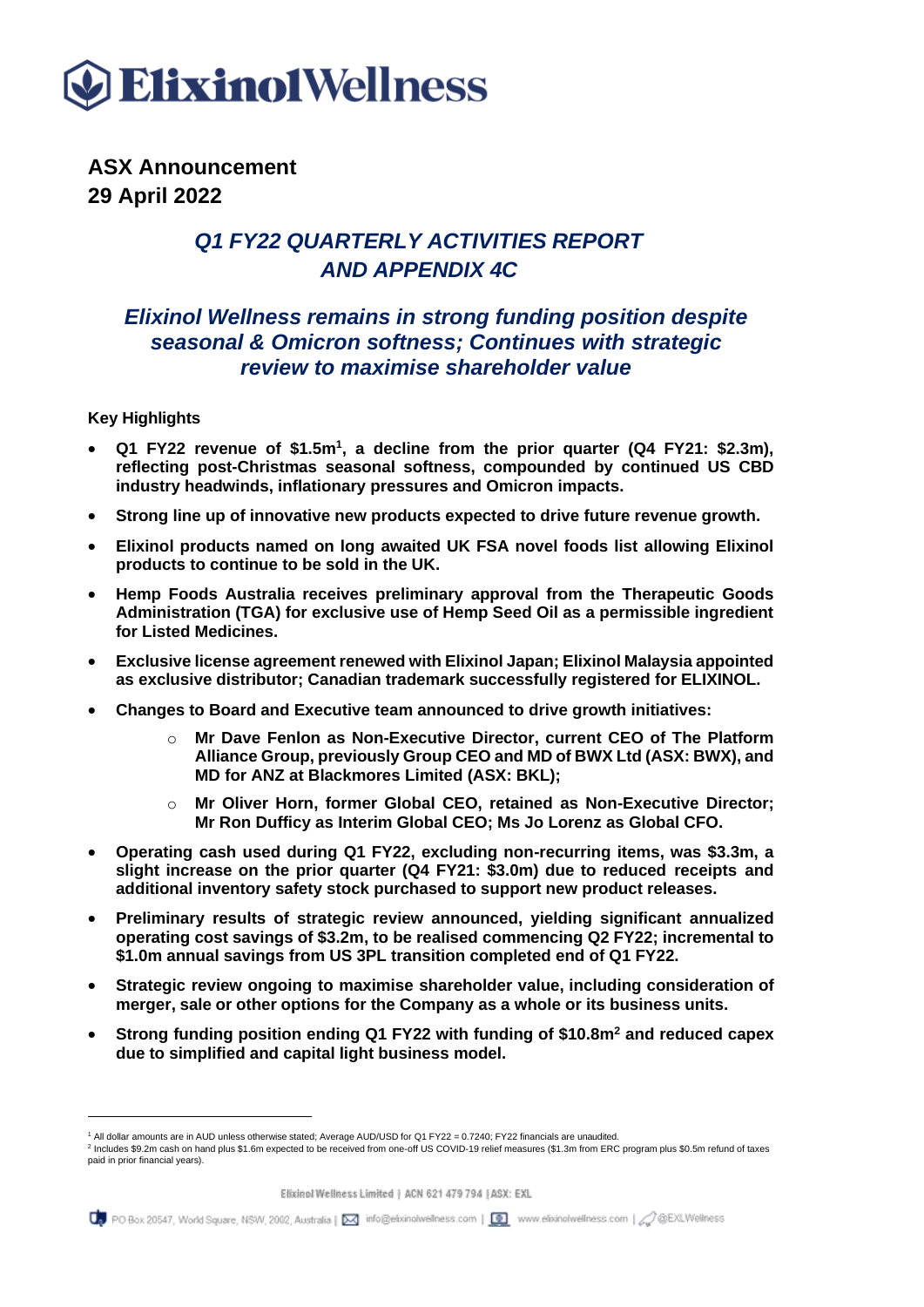

**ASX Announcement 29 April 2022**

### *Q1 FY22 QUARTERLY ACTIVITIES REPORT AND APPENDIX 4C*

### *Elixinol Wellness remains in strong funding position despite seasonal & Omicron softness; Continues with strategic review to maximise shareholder value*

#### **Key Highlights**

- **Q1 FY22 revenue of \$1.5m<sup>1</sup> , a decline from the prior quarter (Q4 FY21: \$2.3m), reflecting post-Christmas seasonal softness, compounded by continued US CBD industry headwinds, inflationary pressures and Omicron impacts.**
- **Strong line up of innovative new products expected to drive future revenue growth.**
- **Elixinol products named on long awaited UK FSA novel foods list allowing Elixinol products to continue to be sold in the UK.**
- **Hemp Foods Australia receives preliminary approval from the Therapeutic Goods Administration (TGA) for exclusive use of Hemp Seed Oil as a permissible ingredient for Listed Medicines.**
- **Exclusive license agreement renewed with Elixinol Japan; Elixinol Malaysia appointed as exclusive distributor; Canadian trademark successfully registered for ELIXINOL.**
- **Changes to Board and Executive team announced to drive growth initiatives:**
	- o **Mr Dave Fenlon as Non-Executive Director, current CEO of The Platform Alliance Group, previously Group CEO and MD of BWX Ltd (ASX: BWX), and MD for ANZ at Blackmores Limited (ASX: BKL);**
	- o **Mr Oliver Horn, former Global CEO, retained as Non-Executive Director; Mr Ron Dufficy as Interim Global CEO; Ms Jo Lorenz as Global CFO.**
- **Operating cash used during Q1 FY22, excluding non-recurring items, was \$3.3m, a slight increase on the prior quarter (Q4 FY21: \$3.0m) due to reduced receipts and additional inventory safety stock purchased to support new product releases.**
- **Preliminary results of strategic review announced, yielding significant annualized operating cost savings of \$3.2m, to be realised commencing Q2 FY22; incremental to \$1.0m annual savings from US 3PL transition completed end of Q1 FY22.**
- **Strategic review ongoing to maximise shareholder value, including consideration of merger, sale or other options for the Company as a whole or its business units.**
- **Strong funding position ending Q1 FY22 with funding of \$10.8m<sup>2</sup> and reduced capex due to simplified and capital light business model.**

<sup>1</sup> All dollar amounts are in AUD unless otherwise stated; Average AUD/USD for Q1 FY22 = 0.7240; FY22 financials are unaudited.

<sup>&</sup>lt;sup>2</sup> Includes \$9.2m cash on hand plus \$1.6m expected to be received from one-off US COVID-19 relief measures (\$1.3m from ERC program plus \$0.5m refund of taxes paid in prior financial years).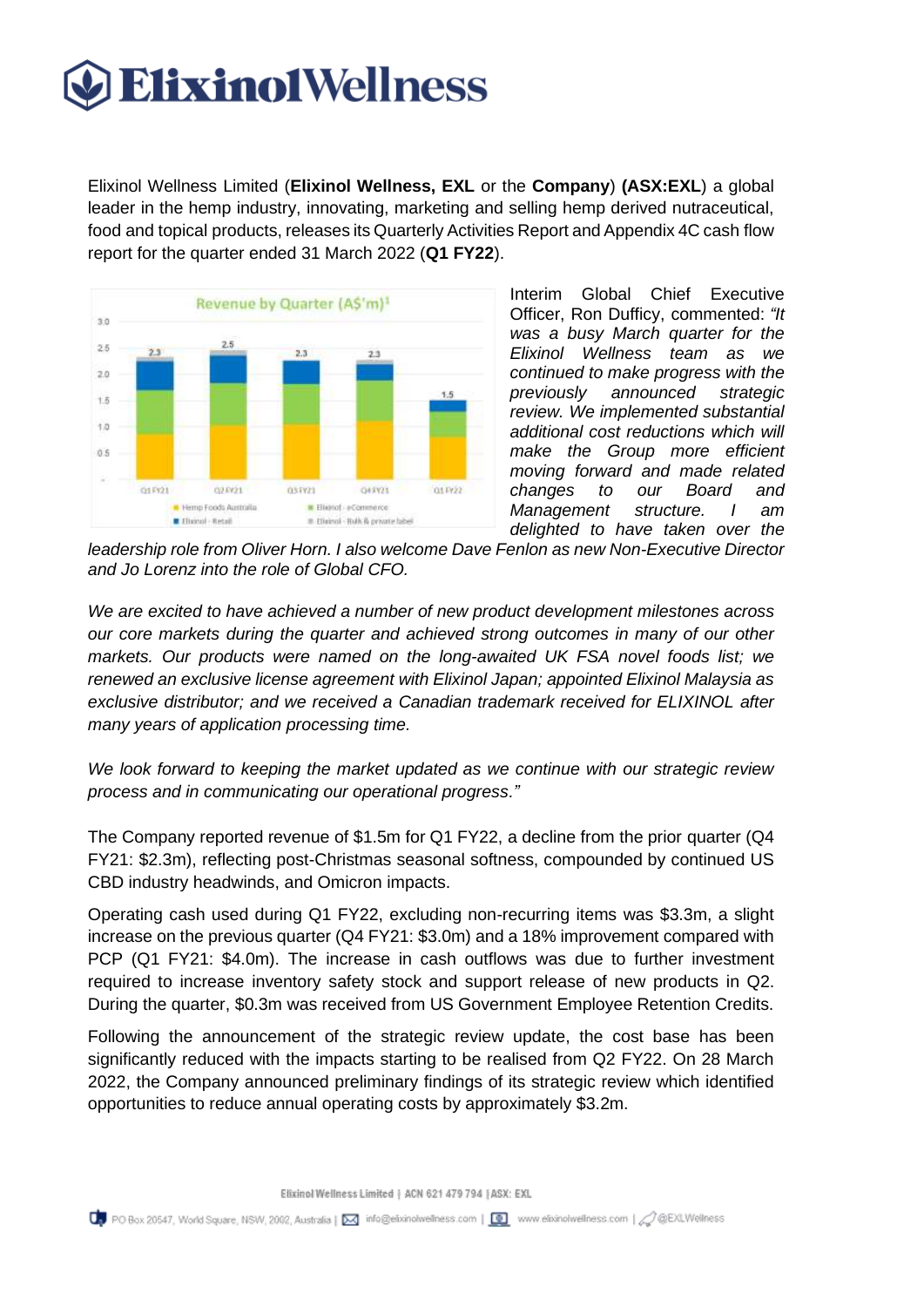Elixinol Wellness Limited (**Elixinol Wellness, EXL** or the **Company**) **(ASX:EXL**) a global leader in the hemp industry, innovating, marketing and selling hemp derived nutraceutical, food and topical products, releases its Quarterly Activities Report and Appendix 4C cash flow report for the quarter ended 31 March 2022 (**Q1 FY22**).



Interim Global Chief Executive Officer, Ron Dufficy, commented: *"It was a busy March quarter for the Elixinol Wellness team as we continued to make progress with the previously announced strategic review. We implemented substantial additional cost reductions which will make the Group more efficient moving forward and made related changes to our Board and Management structure. I am delighted to have taken over the* 

*leadership role from Oliver Horn. I also welcome Dave Fenlon as new Non-Executive Director and Jo Lorenz into the role of Global CFO.*

*We are excited to have achieved a number of new product development milestones across our core markets during the quarter and achieved strong outcomes in many of our other markets. Our products were named on the long-awaited UK FSA novel foods list; we renewed an exclusive license agreement with Elixinol Japan; appointed Elixinol Malaysia as exclusive distributor; and we received a Canadian trademark received for ELIXINOL after many years of application processing time.*

*We look forward to keeping the market updated as we continue with our strategic review process and in communicating our operational progress."*

The Company reported revenue of \$1.5m for Q1 FY22, a decline from the prior quarter (Q4 FY21: \$2.3m), reflecting post-Christmas seasonal softness, compounded by continued US CBD industry headwinds, and Omicron impacts.

Operating cash used during Q1 FY22, excluding non-recurring items was \$3.3m, a slight increase on the previous quarter (Q4 FY21: \$3.0m) and a 18% improvement compared with PCP (Q1 FY21: \$4.0m). The increase in cash outflows was due to further investment required to increase inventory safety stock and support release of new products in Q2. During the quarter, \$0.3m was received from US Government Employee Retention Credits.

Following the announcement of the strategic review update, the cost base has been significantly reduced with the impacts starting to be realised from Q2 FY22. On 28 March 2022, the Company announced preliminary findings of its strategic review which identified opportunities to reduce annual operating costs by approximately \$3.2m.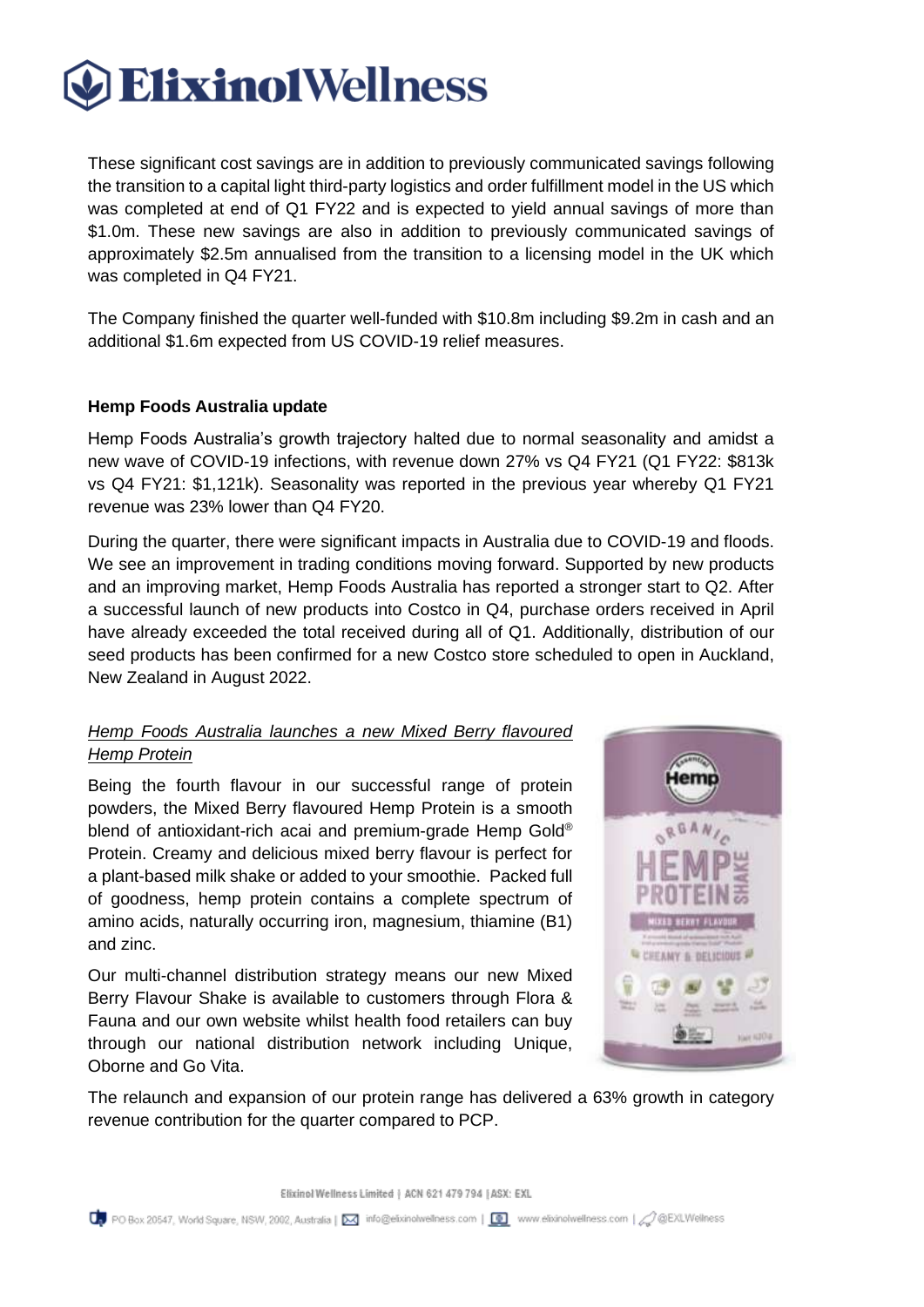These significant cost savings are in addition to previously communicated savings following the transition to a capital light third-party logistics and order fulfillment model in the US which was completed at end of Q1 FY22 and is expected to yield annual savings of more than \$1.0m. These new savings are also in addition to previously communicated savings of approximately \$2.5m annualised from the transition to a licensing model in the UK which was completed in Q4 FY21.

The Company finished the quarter well-funded with \$10.8m including \$9.2m in cash and an additional \$1.6m expected from US COVID-19 relief measures.

### **Hemp Foods Australia update**

Hemp Foods Australia's growth trajectory halted due to normal seasonality and amidst a new wave of COVID-19 infections, with revenue down 27% vs Q4 FY21 (Q1 FY22: \$813k vs Q4 FY21: \$1,121k). Seasonality was reported in the previous year whereby Q1 FY21 revenue was 23% lower than Q4 FY20.

During the quarter, there were significant impacts in Australia due to COVID-19 and floods. We see an improvement in trading conditions moving forward. Supported by new products and an improving market, Hemp Foods Australia has reported a stronger start to Q2. After a successful launch of new products into Costco in Q4, purchase orders received in April have already exceeded the total received during all of Q1. Additionally, distribution of our seed products has been confirmed for a new Costco store scheduled to open in Auckland, New Zealand in August 2022.

### *Hemp Foods Australia launches a new Mixed Berry flavoured Hemp Protein*

Being the fourth flavour in our successful range of protein powders, the Mixed Berry flavoured Hemp Protein is a smooth blend of antioxidant-rich acai and premium-grade Hemp Gold® Protein. Creamy and delicious mixed berry flavour is perfect for a plant-based milk shake or added to your smoothie. Packed full of goodness, hemp protein contains a complete spectrum of amino acids, naturally occurring iron, magnesium, thiamine (B1) and zinc.

Our multi-channel distribution strategy means our new Mixed Berry Flavour Shake is available to customers through Flora & Fauna and our own website whilst health food retailers can buy through our national distribution network including Unique, Oborne and Go Vita.



The relaunch and expansion of our protein range has delivered a 63% growth in category revenue contribution for the quarter compared to PCP.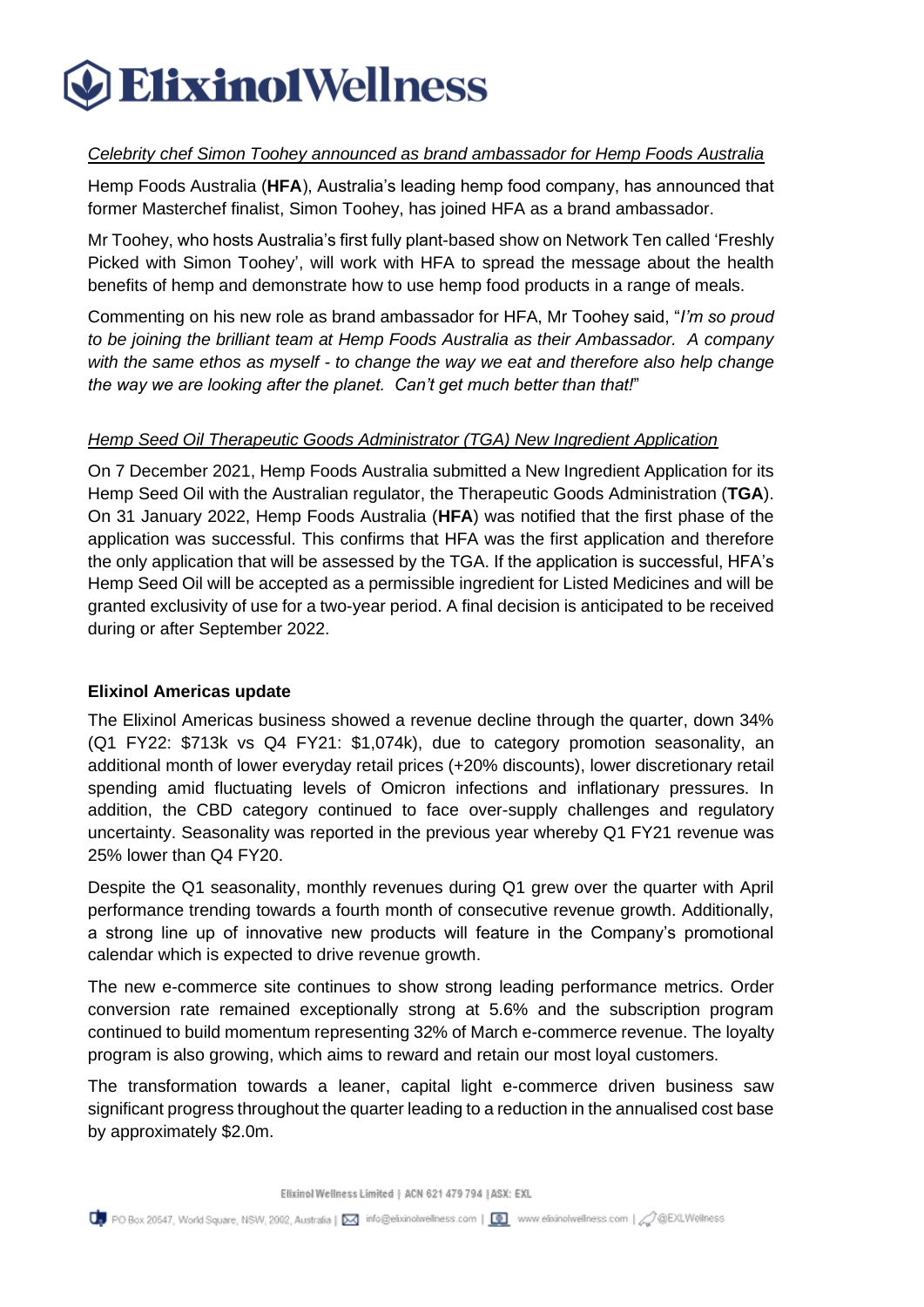### *Celebrity chef Simon Toohey announced as brand ambassador for Hemp Foods Australia*

Hemp Foods Australia (**HFA**), Australia's leading hemp food company, has announced that former Masterchef finalist, Simon Toohey, has joined HFA as a brand ambassador.

Mr Toohey, who hosts Australia's first fully plant-based show on Network Ten called 'Freshly Picked with Simon Toohey', will work with HFA to spread the message about the health benefits of hemp and demonstrate how to use hemp food products in a range of meals.

Commenting on his new role as brand ambassador for HFA, Mr Toohey said, "*I'm so proud to be joining the brilliant team at Hemp Foods Australia as their Ambassador. A company with the same ethos as myself - to change the way we eat and therefore also help change the way we are looking after the planet. Can't get much better than that!*"

### *Hemp Seed Oil Therapeutic Goods Administrator (TGA) New Ingredient Application*

On 7 December 2021, Hemp Foods Australia submitted a New Ingredient Application for its Hemp Seed Oil with the Australian regulator, the Therapeutic Goods Administration (**TGA**). On 31 January 2022, Hemp Foods Australia (**HFA**) was notified that the first phase of the application was successful. This confirms that HFA was the first application and therefore the only application that will be assessed by the TGA. If the application is successful, HFA's Hemp Seed Oil will be accepted as a permissible ingredient for Listed Medicines and will be granted exclusivity of use for a two-year period. A final decision is anticipated to be received during or after September 2022.

### **Elixinol Americas update**

The Elixinol Americas business showed a revenue decline through the quarter, down 34% (Q1 FY22: \$713k vs Q4 FY21: \$1,074k), due to category promotion seasonality, an additional month of lower everyday retail prices (+20% discounts), lower discretionary retail spending amid fluctuating levels of Omicron infections and inflationary pressures. In addition, the CBD category continued to face over-supply challenges and regulatory uncertainty. Seasonality was reported in the previous year whereby Q1 FY21 revenue was 25% lower than Q4 FY20.

Despite the Q1 seasonality, monthly revenues during Q1 grew over the quarter with April performance trending towards a fourth month of consecutive revenue growth. Additionally, a strong line up of innovative new products will feature in the Company's promotional calendar which is expected to drive revenue growth.

The new e-commerce site continues to show strong leading performance metrics. Order conversion rate remained exceptionally strong at 5.6% and the subscription program continued to build momentum representing 32% of March e-commerce revenue. The loyalty program is also growing, which aims to reward and retain our most loyal customers.

The transformation towards a leaner, capital light e-commerce driven business saw significant progress throughout the quarter leading to a reduction in the annualised cost base by approximately \$2.0m.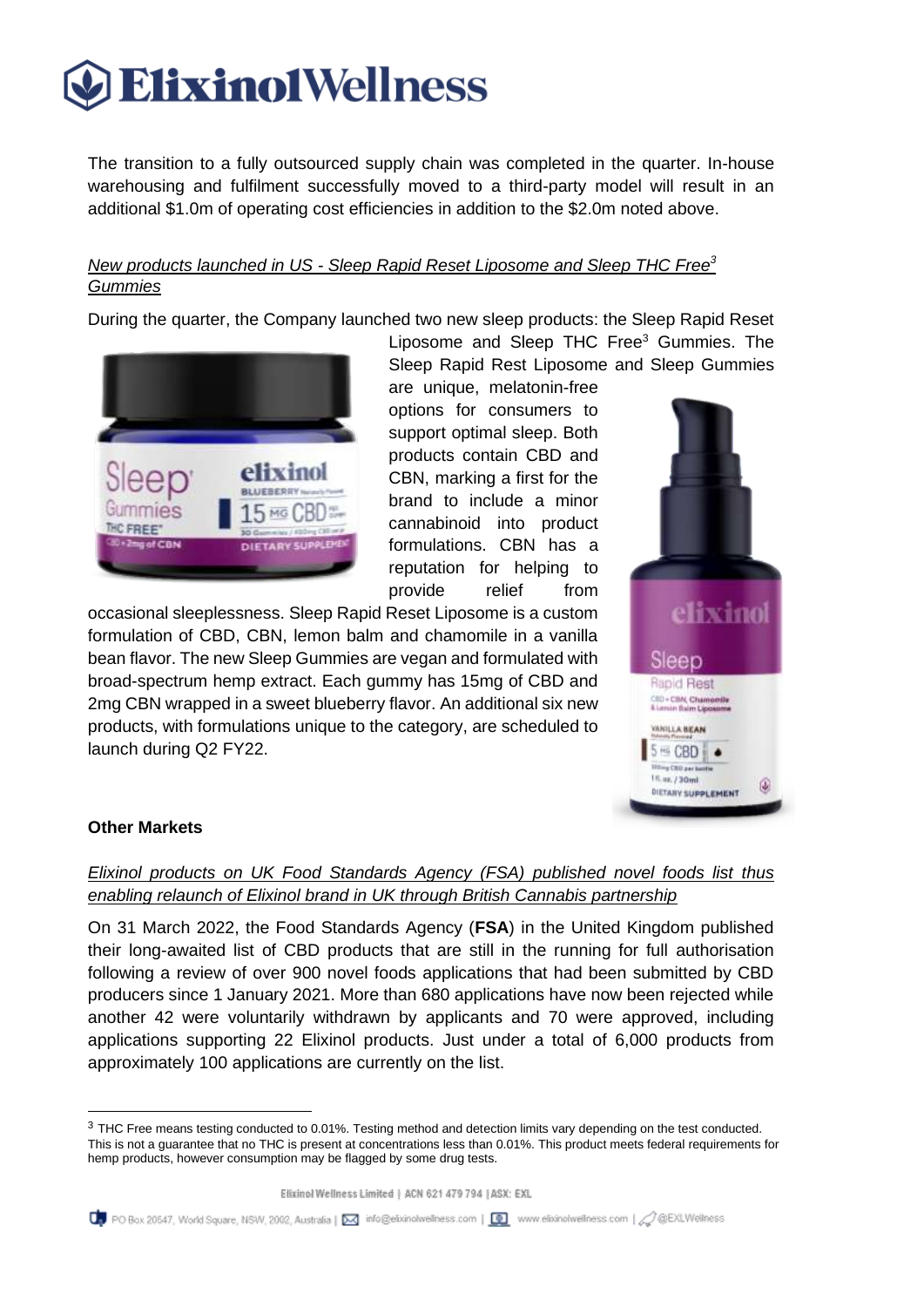The transition to a fully outsourced supply chain was completed in the quarter. In-house warehousing and fulfilment successfully moved to a third-party model will result in an additional \$1.0m of operating cost efficiencies in addition to the \$2.0m noted above.

### *New products launched in US - Sleep Rapid Reset Liposome and Sleep THC Free<sup>3</sup> Gummies*

During the quarter, the Company launched two new sleep products: the Sleep Rapid Reset



are unique, melatonin-free options for consumers to support optimal sleep. Both products contain CBD and CBN, marking a first for the brand to include a minor cannabinoid into product formulations. CBN has a reputation for helping to provide relief from

Liposome and Sleep THC Free<sup>3</sup> Gummies. The

occasional sleeplessness. Sleep Rapid Reset Liposome is a custom formulation of CBD, CBN, lemon balm and chamomile in a vanilla bean flavor. The new Sleep Gummies are vegan and formulated with broad-spectrum hemp extract. Each gummy has 15mg of CBD and 2mg CBN wrapped in a sweet blueberry flavor. An additional six new products, with formulations unique to the category, are scheduled to launch during Q2 FY22.



### **Other Markets**

### *Elixinol products on UK Food Standards Agency (FSA) published novel foods list thus enabling relaunch of Elixinol brand in UK through British Cannabis partnership*

On 31 March 2022, the Food Standards Agency (**FSA**) in the United Kingdom published their long-awaited list of CBD products that are still in the running for full authorisation following a review of over 900 novel foods applications that had been submitted by CBD producers since 1 January 2021. More than 680 applications have now been rejected while another 42 were voluntarily withdrawn by applicants and 70 were approved, including applications supporting 22 Elixinol products. Just under a total of 6,000 products from approximately 100 applications are currently on the list.

<sup>&</sup>lt;sup>3</sup> THC Free means testing conducted to 0.01%. Testing method and detection limits vary depending on the test conducted. This is not a guarantee that no THC is present at concentrations less than 0.01%. This product meets federal requirements for hemp products, however consumption may be flagged by some drug tests.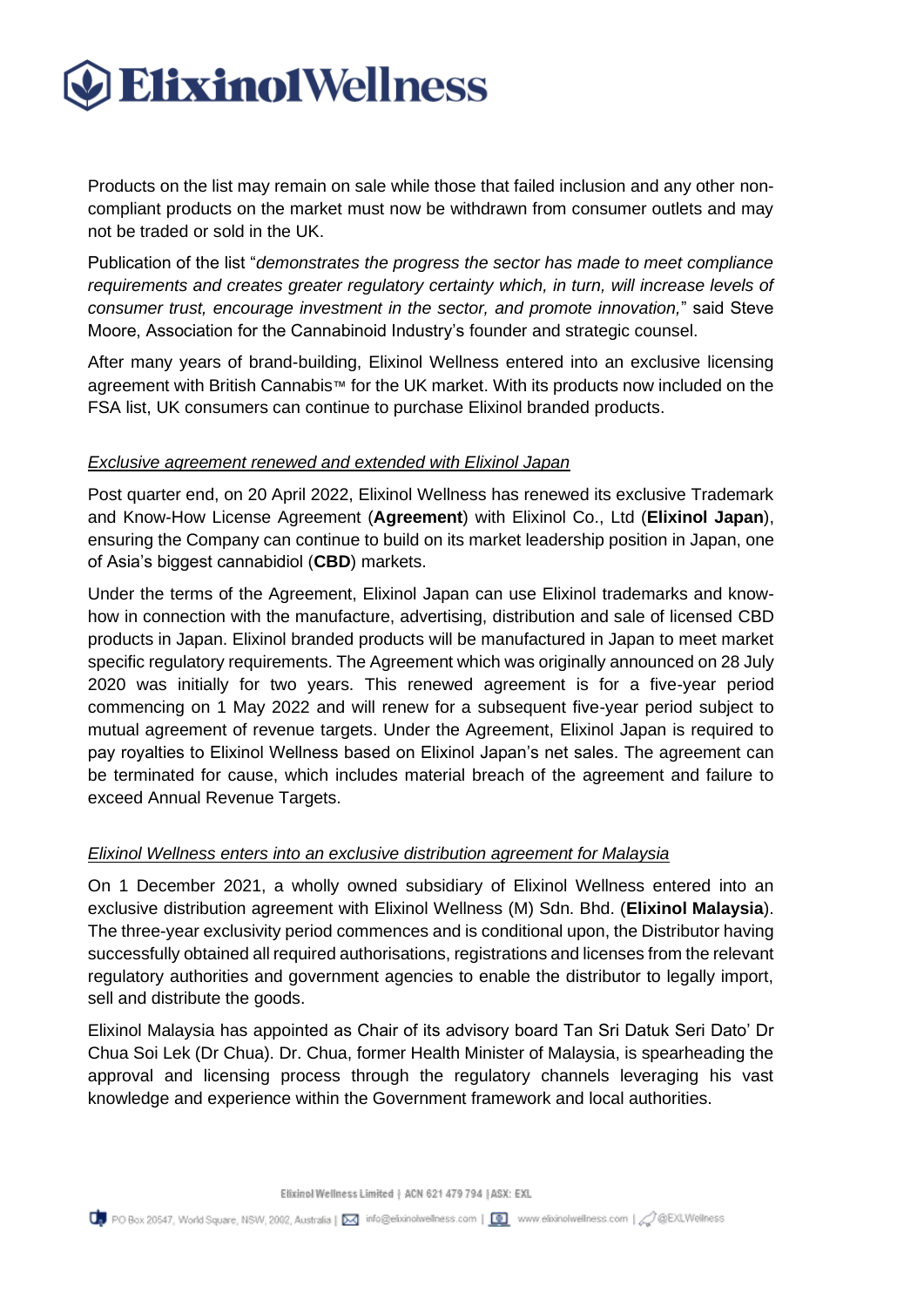Products on the list may remain on sale while those that failed inclusion and any other noncompliant products on the market must now be withdrawn from consumer outlets and may not be traded or sold in the UK.

Publication of the list "*demonstrates the progress the sector has made to meet compliance requirements and creates greater regulatory certainty which, in turn, will increase levels of consumer trust, encourage investment in the sector, and promote innovation,*" said Steve Moore, Association for the Cannabinoid Industry's founder and strategic counsel.

After many years of brand-building, Elixinol Wellness entered into an exclusive licensing agreement with British Cannabis™ for the UK market. With its products now included on the FSA list, UK consumers can continue to purchase Elixinol branded products.

### *Exclusive agreement renewed and extended with Elixinol Japan*

Post quarter end, on 20 April 2022, Elixinol Wellness has renewed its exclusive Trademark and Know-How License Agreement (**Agreement**) with Elixinol Co., Ltd (**Elixinol Japan**), ensuring the Company can continue to build on its market leadership position in Japan, one of Asia's biggest cannabidiol (**CBD**) markets.

Under the terms of the Agreement, Elixinol Japan can use Elixinol trademarks and knowhow in connection with the manufacture, advertising, distribution and sale of licensed CBD products in Japan. Elixinol branded products will be manufactured in Japan to meet market specific regulatory requirements. The Agreement which was originally announced on 28 July 2020 was initially for two years. This renewed agreement is for a five-year period commencing on 1 May 2022 and will renew for a subsequent five-year period subject to mutual agreement of revenue targets. Under the Agreement, Elixinol Japan is required to pay royalties to Elixinol Wellness based on Elixinol Japan's net sales. The agreement can be terminated for cause, which includes material breach of the agreement and failure to exceed Annual Revenue Targets.

### *Elixinol Wellness enters into an exclusive distribution agreement for Malaysia*

On 1 December 2021, a wholly owned subsidiary of Elixinol Wellness entered into an exclusive distribution agreement with Elixinol Wellness (M) Sdn. Bhd. (**Elixinol Malaysia**). The three-year exclusivity period commences and is conditional upon, the Distributor having successfully obtained all required authorisations, registrations and licenses from the relevant regulatory authorities and government agencies to enable the distributor to legally import, sell and distribute the goods.

Elixinol Malaysia has appointed as Chair of its advisory board Tan Sri Datuk Seri Dato' Dr Chua Soi Lek (Dr Chua). Dr. Chua, former Health Minister of Malaysia, is spearheading the approval and licensing process through the regulatory channels leveraging his vast knowledge and experience within the Government framework and local authorities.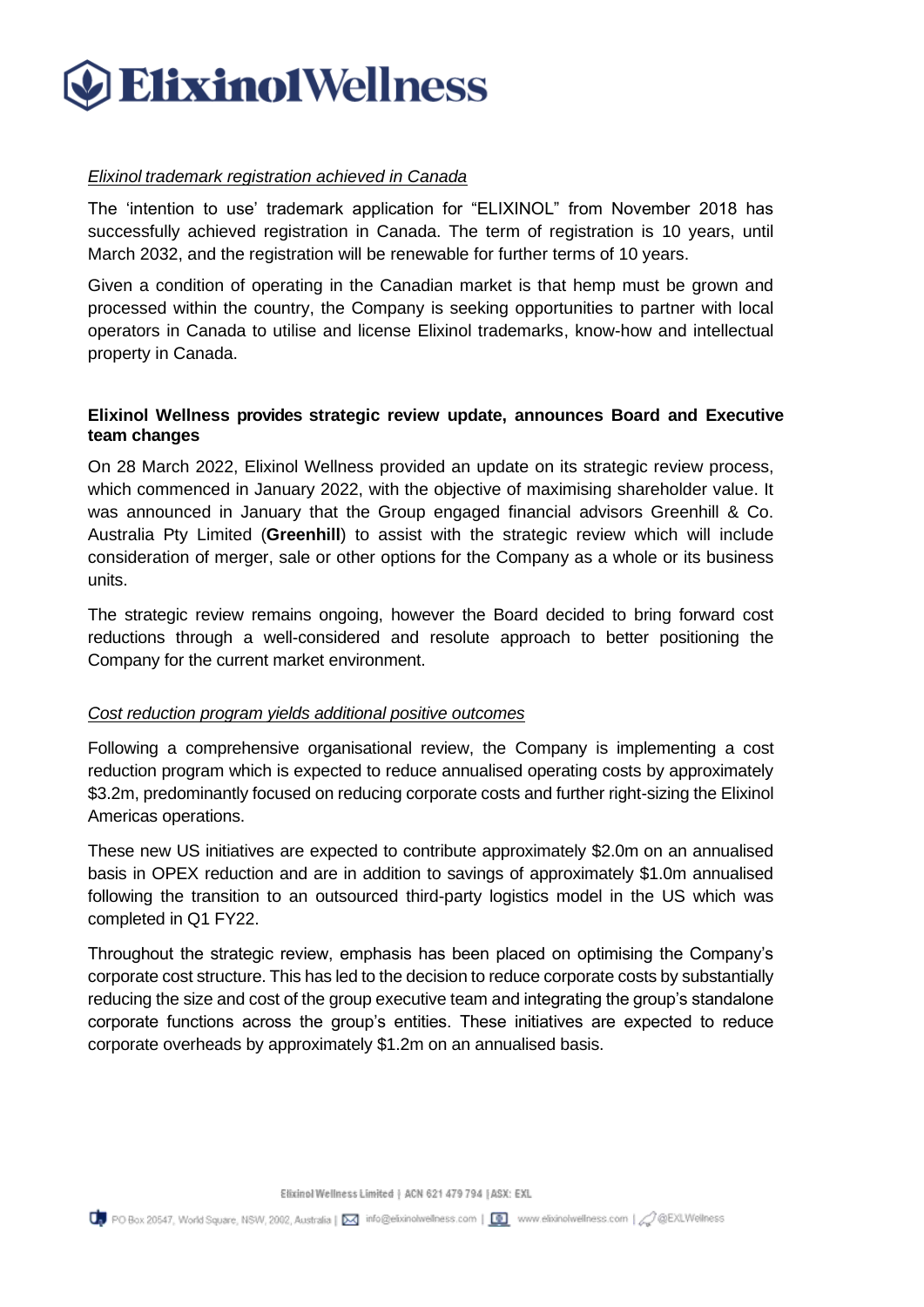### *Elixinol trademark registration achieved in Canada*

The 'intention to use' trademark application for "ELIXINOL" from November 2018 has successfully achieved registration in Canada. The term of registration is 10 years, until March 2032, and the registration will be renewable for further terms of 10 years.

Given a condition of operating in the Canadian market is that hemp must be grown and processed within the country, the Company is seeking opportunities to partner with local operators in Canada to utilise and license Elixinol trademarks, know-how and intellectual property in Canada.

### **Elixinol Wellness provides strategic review update, announces Board and Executive team changes**

On 28 March 2022, Elixinol Wellness provided an update on its strategic review process, which commenced in January 2022, with the objective of maximising shareholder value. It was announced in January that the Group engaged financial advisors Greenhill & Co. Australia Pty Limited (**Greenhill**) to assist with the strategic review which will include consideration of merger, sale or other options for the Company as a whole or its business units.

The strategic review remains ongoing, however the Board decided to bring forward cost reductions through a well-considered and resolute approach to better positioning the Company for the current market environment.

### *Cost reduction program yields additional positive outcomes*

Following a comprehensive organisational review, the Company is implementing a cost reduction program which is expected to reduce annualised operating costs by approximately \$3.2m, predominantly focused on reducing corporate costs and further right-sizing the Elixinol Americas operations.

These new US initiatives are expected to contribute approximately \$2.0m on an annualised basis in OPEX reduction and are in addition to savings of approximately \$1.0m annualised following the transition to an outsourced third-party logistics model in the US which was completed in Q1 FY22.

Throughout the strategic review, emphasis has been placed on optimising the Company's corporate cost structure. This has led to the decision to reduce corporate costs by substantially reducing the size and cost of the group executive team and integrating the group's standalone corporate functions across the group's entities. These initiatives are expected to reduce corporate overheads by approximately \$1.2m on an annualised basis.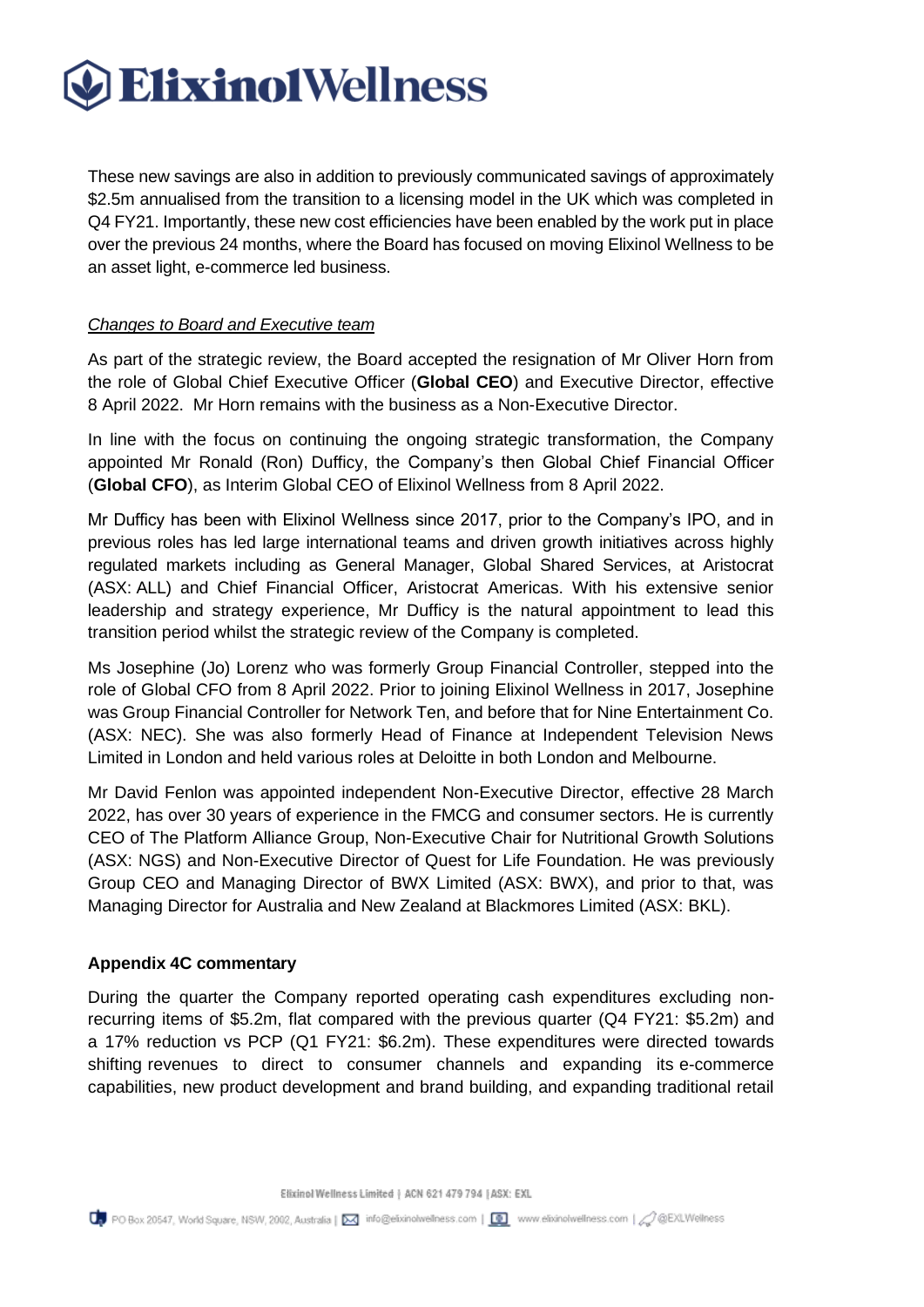These new savings are also in addition to previously communicated savings of approximately \$2.5m annualised from the transition to a licensing model in the UK which was completed in Q4 FY21. Importantly, these new cost efficiencies have been enabled by the work put in place over the previous 24 months, where the Board has focused on moving Elixinol Wellness to be an asset light, e-commerce led business.

### *Changes to Board and Executive team*

As part of the strategic review, the Board accepted the resignation of Mr Oliver Horn from the role of Global Chief Executive Officer (**Global CEO**) and Executive Director, effective 8 April 2022. Mr Horn remains with the business as a Non-Executive Director.

In line with the focus on continuing the ongoing strategic transformation, the Company appointed Mr Ronald (Ron) Dufficy, the Company's then Global Chief Financial Officer (**Global CFO**), as Interim Global CEO of Elixinol Wellness from 8 April 2022.

Mr Dufficy has been with Elixinol Wellness since 2017, prior to the Company's IPO, and in previous roles has led large international teams and driven growth initiatives across highly regulated markets including as General Manager, Global Shared Services, at Aristocrat (ASX: ALL) and Chief Financial Officer, Aristocrat Americas. With his extensive senior leadership and strategy experience, Mr Dufficy is the natural appointment to lead this transition period whilst the strategic review of the Company is completed.

Ms Josephine (Jo) Lorenz who was formerly Group Financial Controller, stepped into the role of Global CFO from 8 April 2022. Prior to joining Elixinol Wellness in 2017, Josephine was Group Financial Controller for Network Ten, and before that for Nine Entertainment Co. (ASX: NEC). She was also formerly Head of Finance at Independent Television News Limited in London and held various roles at Deloitte in both London and Melbourne.

Mr David Fenlon was appointed independent Non-Executive Director, effective 28 March 2022, has over 30 years of experience in the FMCG and consumer sectors. He is currently CEO of The Platform Alliance Group, Non-Executive Chair for Nutritional Growth Solutions (ASX: NGS) and Non-Executive Director of Quest for Life Foundation. He was previously Group CEO and Managing Director of BWX Limited (ASX: BWX), and prior to that, was Managing Director for Australia and New Zealand at Blackmores Limited (ASX: BKL).

### **Appendix 4C commentary**

During the quarter the Company reported operating cash expenditures excluding nonrecurring items of \$5.2m, flat compared with the previous quarter (Q4 FY21: \$5.2m) and a 17% reduction vs PCP (Q1 FY21: \$6.2m). These expenditures were directed towards shifting revenues to direct to consumer channels and expanding its e-commerce capabilities, new product development and brand building, and expanding traditional retail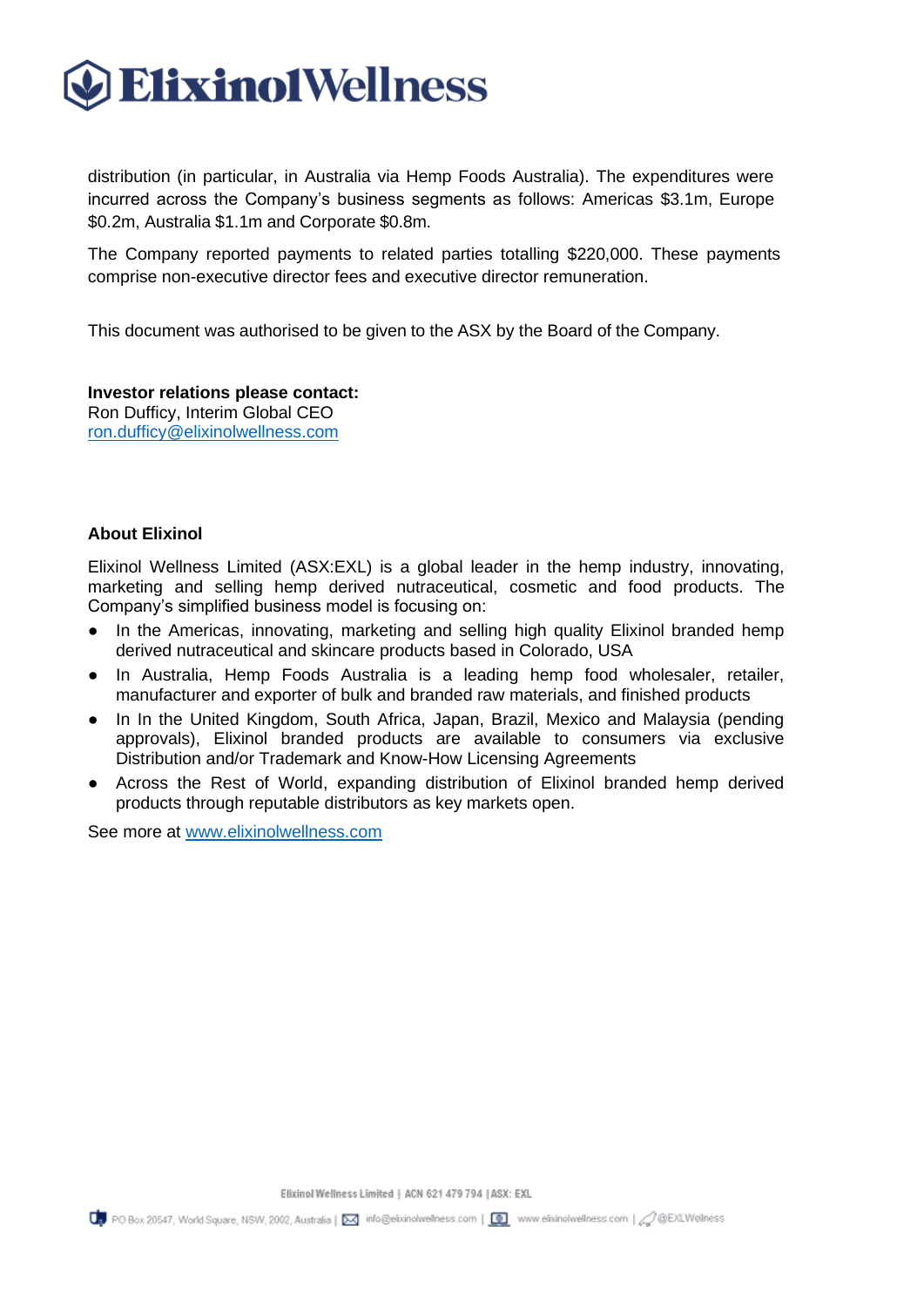

distribution (in particular, in Australia via Hemp Foods Australia). The expenditures were incurred across the Company's business segments as follows: Americas \$3.1m, Europe \$0.2m, Australia \$1.1m and Corporate \$0.8m.

The Company reported payments to related parties totalling \$220,000. These payments comprise non-executive director fees and executive director remuneration.

This document was authorised to be given to the ASX by the Board of the Company.

#### **Investor relations please contact:**

Ron Dufficy, Interim Global CEO [ron.dufficy@elixinolwellness.com](mailto:ron.dufficy@elixinolwellness.com)

### **About Elixinol**

Elixinol Wellness Limited (ASX:EXL) is a global leader in the hemp industry, innovating, marketing and selling hemp derived nutraceutical, cosmetic and food products. The Company's simplified business model is focusing on:

- In the Americas, innovating, marketing and selling high quality Elixinol branded hemp derived nutraceutical and skincare products based in Colorado, USA
- In Australia, Hemp Foods Australia is a leading hemp food wholesaler, retailer, manufacturer and exporter of bulk and branded raw materials, and finished products
- In In the United Kingdom, South Africa, Japan, Brazil, Mexico and Malaysia (pending approvals), Elixinol branded products are available to consumers via exclusive Distribution and/or Trademark and Know-How Licensing Agreements
- Across the Rest of World, expanding distribution of Elixinol branded hemp derived products through reputable distributors as key markets open.

See more at [www.elixinolwellness.com](http://www.elixinolwellness.com/)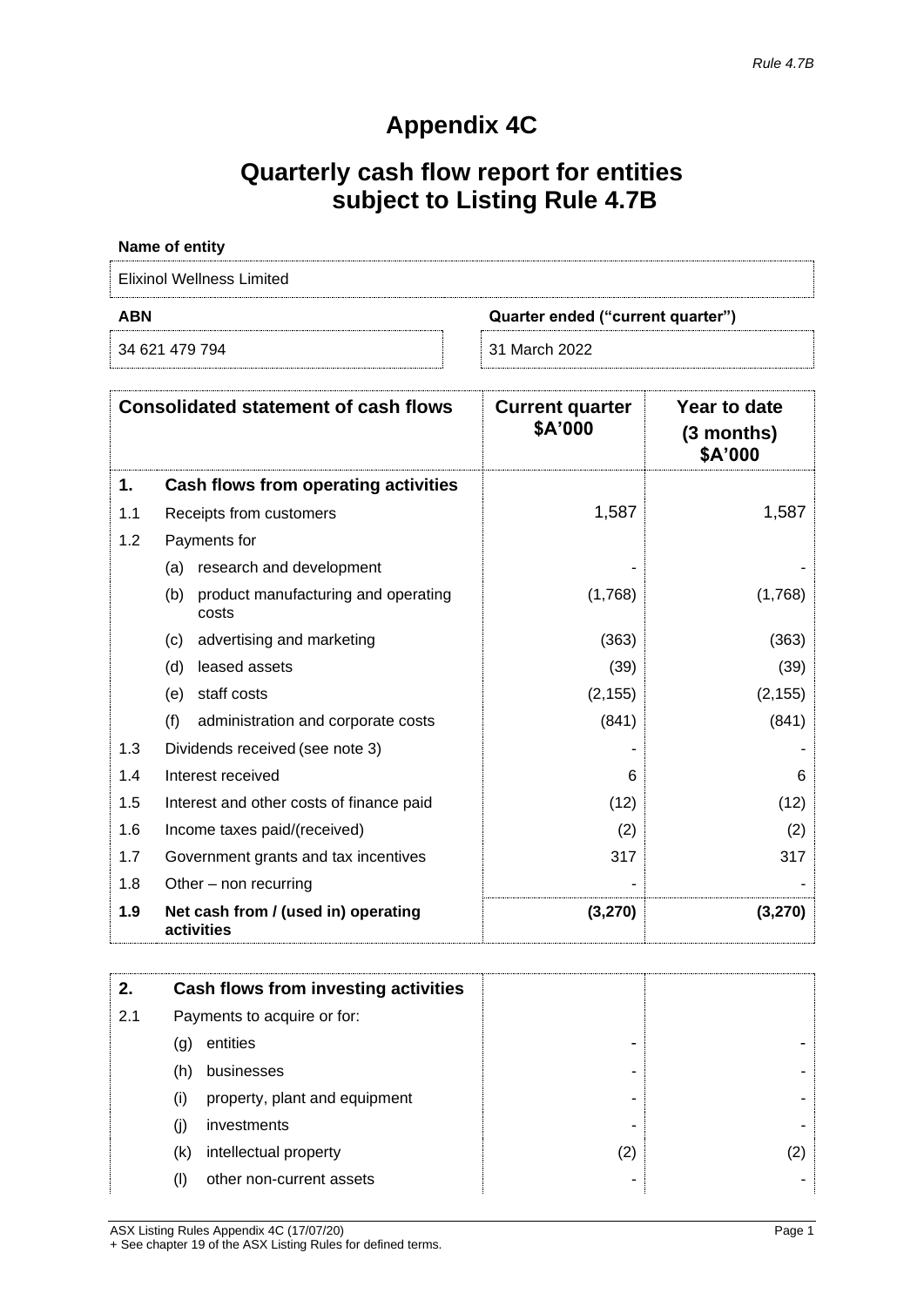### **Appendix 4C**

### **Quarterly cash flow report for entities subject to Listing Rule 4.7B**

| Name of entity            |                                   |
|---------------------------|-----------------------------------|
| Elixinol Wellness Limited |                                   |
|                           |                                   |
| <b>ABN</b>                | Quarter ended ("current quarter") |

| <b>Consolidated statement of cash flows</b> |                                                     | <b>Current quarter</b><br>\$A'000 | Year to date<br>$(3$ months)<br>\$A'000 |
|---------------------------------------------|-----------------------------------------------------|-----------------------------------|-----------------------------------------|
| 1.                                          | Cash flows from operating activities                |                                   |                                         |
| 1.1                                         | Receipts from customers                             | 1,587                             | 1,587                                   |
| 1.2                                         | Payments for                                        |                                   |                                         |
|                                             | research and development<br>(a)                     |                                   |                                         |
|                                             | product manufacturing and operating<br>(b)<br>costs | (1,768)                           | (1,768)                                 |
|                                             | advertising and marketing<br>(c)                    | (363)                             | (363)                                   |
|                                             | leased assets<br>(d)                                | (39)                              | (39)                                    |
|                                             | staff costs<br>(e)                                  | (2, 155)                          | (2, 155)                                |
|                                             | (f)<br>administration and corporate costs           | (841)                             | (841)                                   |
| 1.3                                         | Dividends received (see note 3)                     |                                   |                                         |
| 1.4                                         | Interest received                                   | 6                                 | 6                                       |
| 1.5                                         | Interest and other costs of finance paid            | (12)                              | (12)                                    |
| 1.6                                         | Income taxes paid/(received)                        | (2)                               | (2)                                     |
| 1.7                                         | Government grants and tax incentives                | 317                               | 317                                     |
| 1.8                                         | Other – non recurring                               |                                   |                                         |
| 1.9                                         | Net cash from / (used in) operating<br>activities   | (3,270)                           | (3,270)                                 |

| 2.  |                             | Cash flows from investing activities |     |
|-----|-----------------------------|--------------------------------------|-----|
| 2.1 | Payments to acquire or for: |                                      |     |
|     | (g)                         | entities                             |     |
|     | (h)                         | businesses                           |     |
|     | (i)                         | property, plant and equipment        |     |
|     | (j)                         | investments                          |     |
|     | (k)                         | intellectual property                | (2) |
|     | (1)                         | other non-current assets             |     |

ASX Listing Rules Appendix 4C (17/07/20) Page 1 + See chapter 19 of the ASX Listing Rules for defined terms.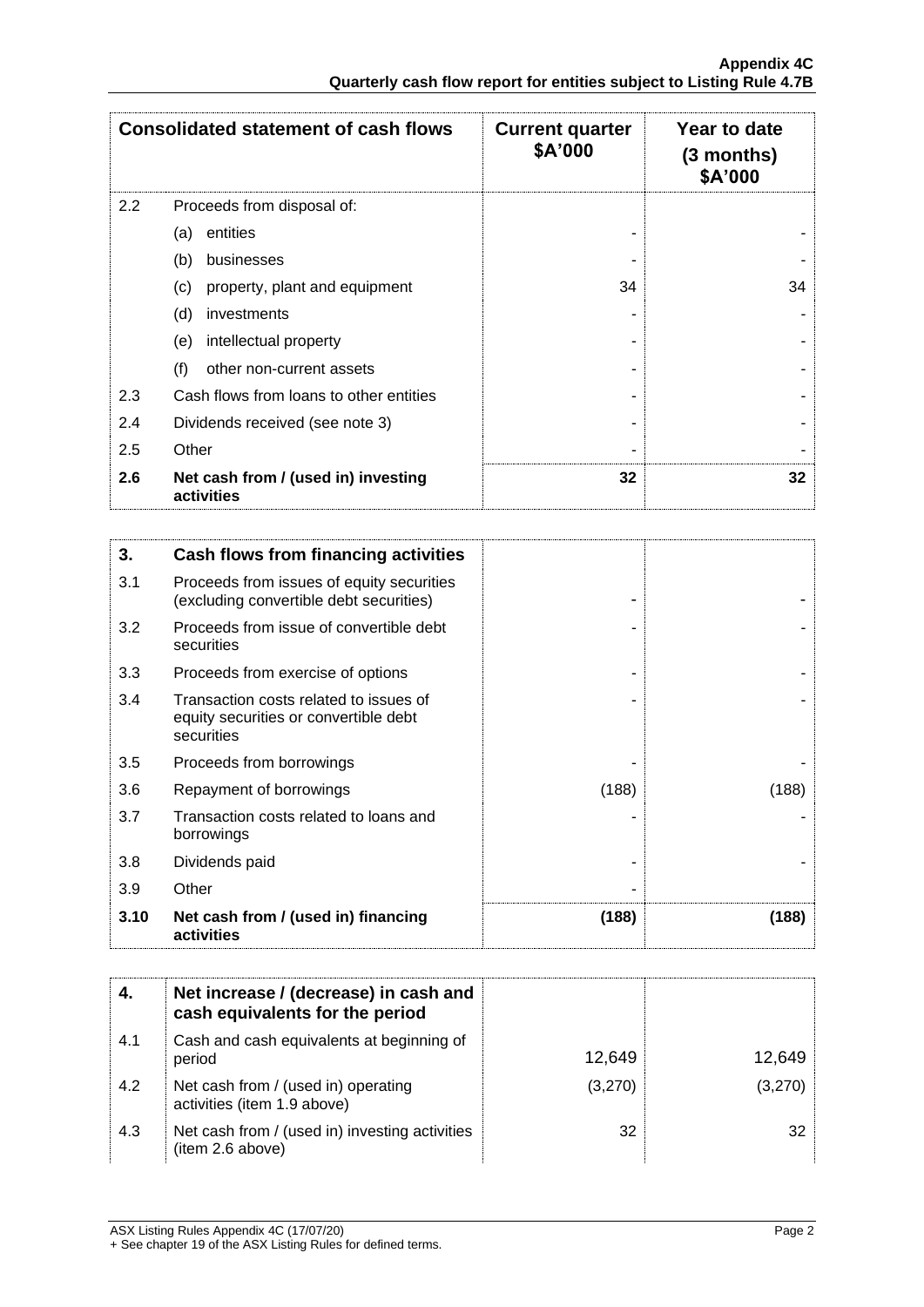| <b>Consolidated statement of cash flows</b> |                                                   | <b>Current quarter</b><br>\$A'000 | Year to date<br>$(3$ months)<br>\$A'000 |
|---------------------------------------------|---------------------------------------------------|-----------------------------------|-----------------------------------------|
| 2.2                                         | Proceeds from disposal of:                        |                                   |                                         |
|                                             | entities<br>(a)                                   |                                   |                                         |
|                                             | (b)<br>businesses                                 |                                   |                                         |
|                                             | property, plant and equipment<br>(c)              | 34                                | 34                                      |
|                                             | (d)<br>investments                                |                                   |                                         |
|                                             | intellectual property<br>(e)                      |                                   |                                         |
|                                             | (f)<br>other non-current assets                   |                                   |                                         |
| 2.3                                         | Cash flows from loans to other entities           |                                   |                                         |
| 2.4                                         | Dividends received (see note 3)                   |                                   |                                         |
| 2.5                                         | Other                                             |                                   |                                         |
| 2.6                                         | Net cash from / (used in) investing<br>activities | 32                                | 32                                      |

| 3.   | Cash flows from financing activities                                                          |       |       |
|------|-----------------------------------------------------------------------------------------------|-------|-------|
| 3.1  | Proceeds from issues of equity securities<br>(excluding convertible debt securities)          |       |       |
| 3.2  | Proceeds from issue of convertible debt<br>securities                                         |       |       |
| 3.3  | Proceeds from exercise of options                                                             |       |       |
| 3.4  | Transaction costs related to issues of<br>equity securities or convertible debt<br>securities |       |       |
| 3.5  | Proceeds from borrowings                                                                      |       |       |
| 3.6  | Repayment of borrowings                                                                       | (188) | (188) |
| 3.7  | Transaction costs related to loans and<br>borrowings                                          |       |       |
| 3.8  | Dividends paid                                                                                |       |       |
| 3.9  | Other                                                                                         |       |       |
| 3.10 | Net cash from / (used in) financing<br>activities                                             | (188) | (188) |

|     | Net increase / (decrease) in cash and<br>cash equivalents for the period |         |         |
|-----|--------------------------------------------------------------------------|---------|---------|
| 4.1 | Cash and cash equivalents at beginning of<br>period                      | 12,649  | 12,649  |
| 4.2 | Net cash from / (used in) operating<br>activities (item 1.9 above)       | (3,270) | (3,270) |
| 4.3 | Net cash from / (used in) investing activities<br>(item 2.6 above)       | 32      | 32      |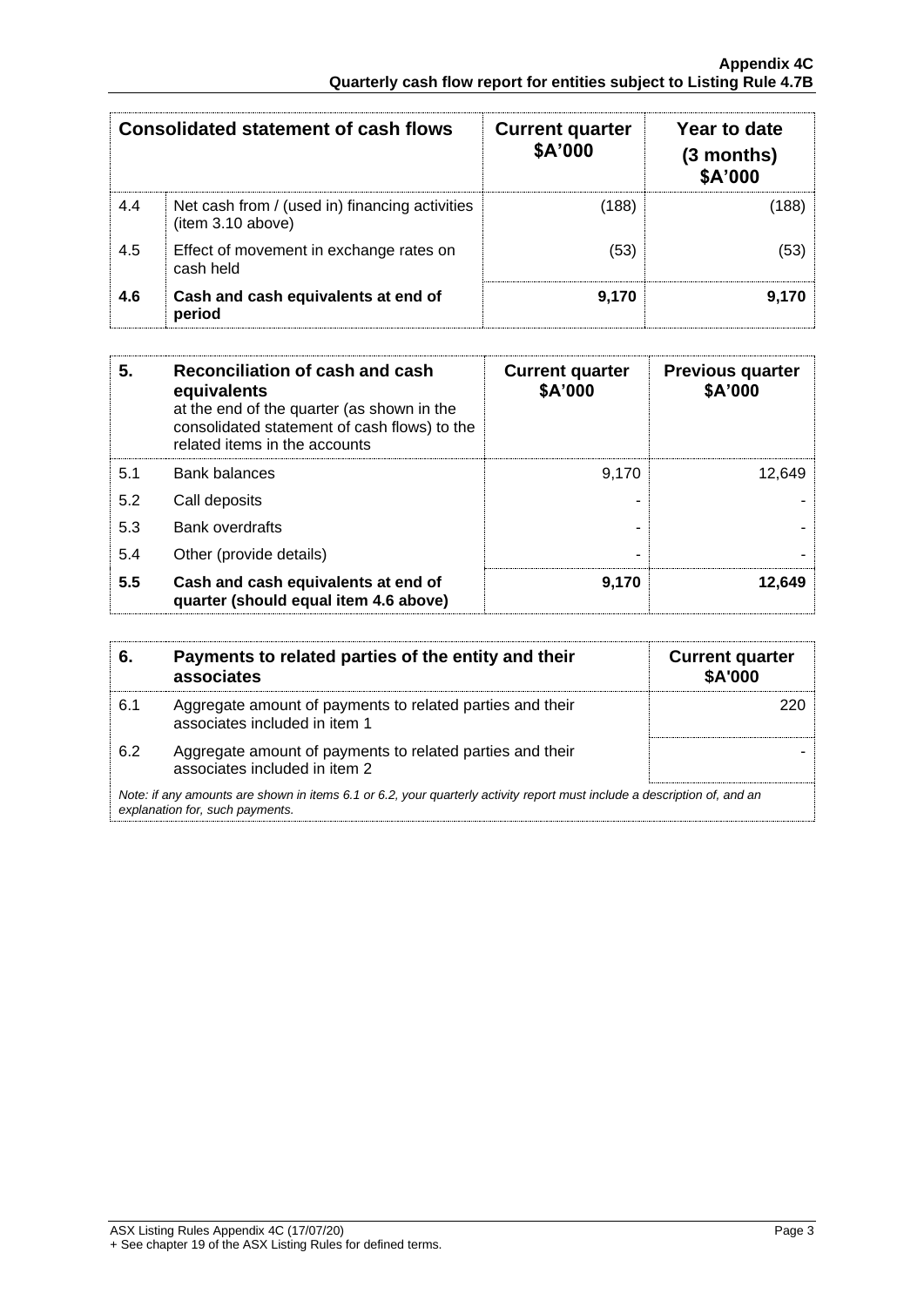| <b>Consolidated statement of cash flows</b> |                                                                    | <b>Current quarter</b><br>\$A'000 | Year to date<br>$(3$ months)<br>\$A'000 |
|---------------------------------------------|--------------------------------------------------------------------|-----------------------------------|-----------------------------------------|
| 4.4                                         | Net cash from / (used in) financing activities<br>item 3.10 above) | (188)                             | (188)                                   |
| 4.5                                         | Effect of movement in exchange rates on<br>cash held               | (53)                              | (53)                                    |
| 4.6                                         | Cash and cash equivalents at end of<br>period                      | 9,170                             | 9,170                                   |

| Reconciliation of cash and cash<br>5.<br>equivalents<br>at the end of the quarter (as shown in the<br>consolidated statement of cash flows) to the<br>related items in the accounts |                                                                              | <b>Current quarter</b><br>\$A'000 | <b>Previous quarter</b><br>\$A'000 |
|-------------------------------------------------------------------------------------------------------------------------------------------------------------------------------------|------------------------------------------------------------------------------|-----------------------------------|------------------------------------|
| 5.1                                                                                                                                                                                 | <b>Bank balances</b>                                                         | 9.170                             | 12.649                             |
| 5.2                                                                                                                                                                                 | Call deposits                                                                |                                   |                                    |
| 5.3                                                                                                                                                                                 | Bank overdrafts                                                              |                                   |                                    |
| 5.4                                                                                                                                                                                 | Other (provide details)                                                      |                                   |                                    |
| 5.5                                                                                                                                                                                 | Cash and cash equivalents at end of<br>quarter (should equal item 4.6 above) | 9,170                             | 12,649                             |

| 6.  | Payments to related parties of the entity and their<br>associates                                                                                           | <b>Current quarter</b><br>\$A'000 |
|-----|-------------------------------------------------------------------------------------------------------------------------------------------------------------|-----------------------------------|
| 6.1 | Aggregate amount of payments to related parties and their<br>associates included in item 1                                                                  |                                   |
| 6.2 | Aggregate amount of payments to related parties and their<br>associates included in item 2                                                                  |                                   |
|     | Note: if any amounts are shown in items 6.1 or 6.2, your quarterly activity report must include a description of, and an<br>explanation for, such payments. |                                   |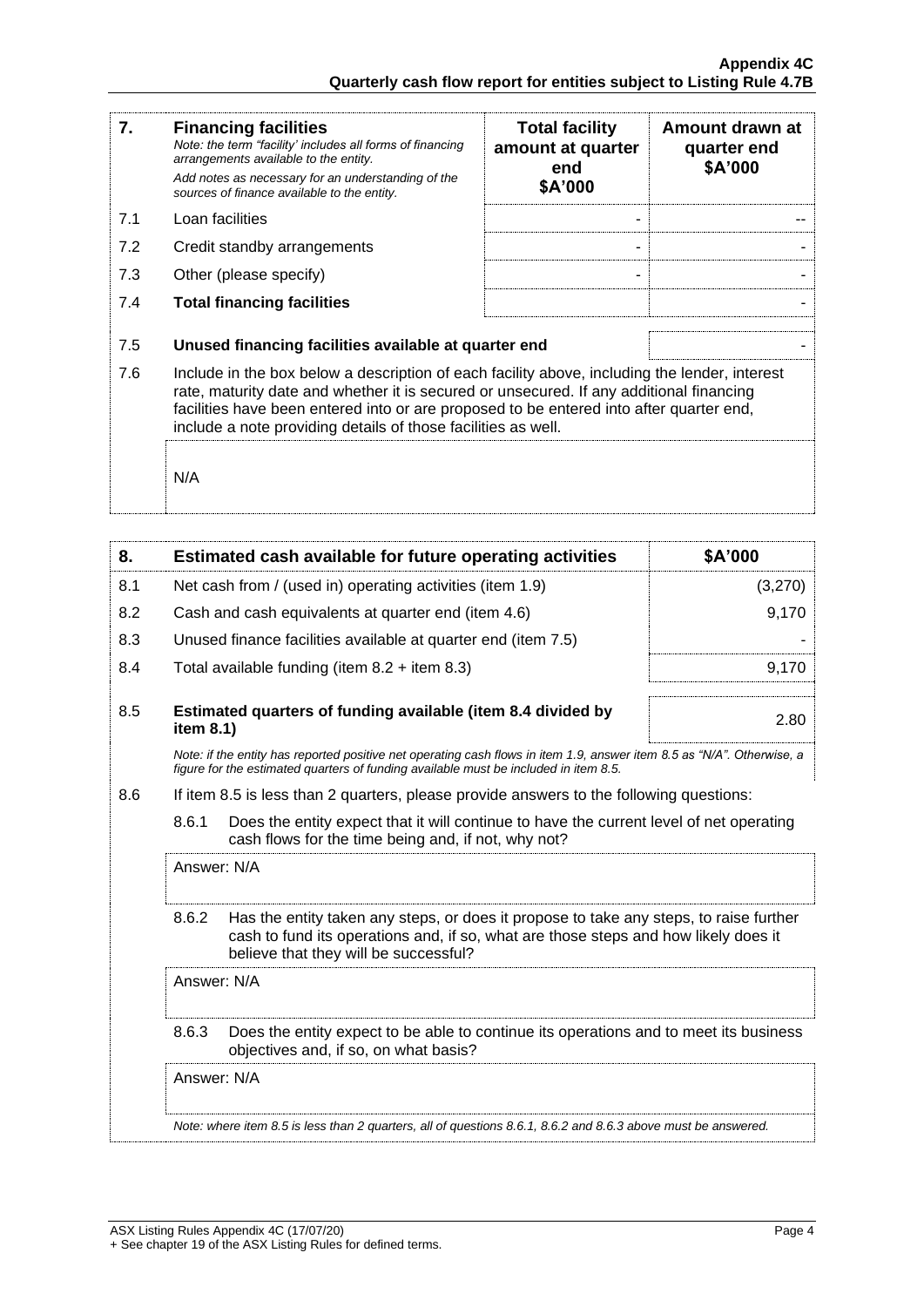| 7.  | <b>Financing facilities</b><br>Note: the term "facility' includes all forms of financing<br>arrangements available to the entity.<br>Add notes as necessary for an understanding of the<br>sources of finance available to the entity.                                                                                                               | <b>Total facility</b><br>amount at quarter<br>end<br>\$A'000 | Amount drawn at<br>quarter end<br>\$A'000 |
|-----|------------------------------------------------------------------------------------------------------------------------------------------------------------------------------------------------------------------------------------------------------------------------------------------------------------------------------------------------------|--------------------------------------------------------------|-------------------------------------------|
| 7.1 | Loan facilities                                                                                                                                                                                                                                                                                                                                      |                                                              |                                           |
| 7.2 | Credit standby arrangements                                                                                                                                                                                                                                                                                                                          |                                                              |                                           |
| 7.3 | Other (please specify)                                                                                                                                                                                                                                                                                                                               |                                                              |                                           |
| 7.4 | <b>Total financing facilities</b>                                                                                                                                                                                                                                                                                                                    |                                                              |                                           |
| 7.5 | Unused financing facilities available at quarter end                                                                                                                                                                                                                                                                                                 |                                                              |                                           |
| 7.6 | Include in the box below a description of each facility above, including the lender, interest<br>rate, maturity date and whether it is secured or unsecured. If any additional financing<br>facilities have been entered into or are proposed to be entered into after quarter end,<br>include a note providing details of those facilities as well. |                                                              |                                           |
|     | N/A                                                                                                                                                                                                                                                                                                                                                  |                                                              |                                           |

| 8.  |                                                           | Estimated cash available for future operating activities                                                                                                                                                               | \$A'000 |
|-----|-----------------------------------------------------------|------------------------------------------------------------------------------------------------------------------------------------------------------------------------------------------------------------------------|---------|
| 8.1 | Net cash from / (used in) operating activities (item 1.9) |                                                                                                                                                                                                                        | (3,270) |
| 8.2 |                                                           | Cash and cash equivalents at quarter end (item 4.6)                                                                                                                                                                    | 9,170   |
| 8.3 |                                                           | Unused finance facilities available at quarter end (item 7.5)                                                                                                                                                          |         |
| 8.4 |                                                           | Total available funding (item $8.2 +$ item $8.3$ )                                                                                                                                                                     | 9,170   |
| 8.5 | item 8.1)                                                 | Estimated quarters of funding available (item 8.4 divided by                                                                                                                                                           | 2.80    |
|     |                                                           | Note: if the entity has reported positive net operating cash flows in item 1.9, answer item 8.5 as "N/A". Otherwise, a<br>figure for the estimated quarters of funding available must be included in item 8.5.         |         |
| 8.6 |                                                           | If item 8.5 is less than 2 quarters, please provide answers to the following questions:                                                                                                                                |         |
|     | 8.6.1                                                     | Does the entity expect that it will continue to have the current level of net operating<br>cash flows for the time being and, if not, why not?                                                                         |         |
|     | Answer: N/A                                               |                                                                                                                                                                                                                        |         |
|     | 8.6.2                                                     | Has the entity taken any steps, or does it propose to take any steps, to raise further<br>cash to fund its operations and, if so, what are those steps and how likely does it<br>believe that they will be successful? |         |
|     | Answer: N/A                                               |                                                                                                                                                                                                                        |         |
|     | 8.6.3                                                     | Does the entity expect to be able to continue its operations and to meet its business<br>objectives and, if so, on what basis?                                                                                         |         |
|     | Answer: N/A                                               |                                                                                                                                                                                                                        |         |
|     |                                                           | Note: where item 8.5 is less than 2 quarters, all of questions 8.6.1, 8.6.2 and 8.6.3 above must be answered.                                                                                                          |         |
|     |                                                           |                                                                                                                                                                                                                        |         |